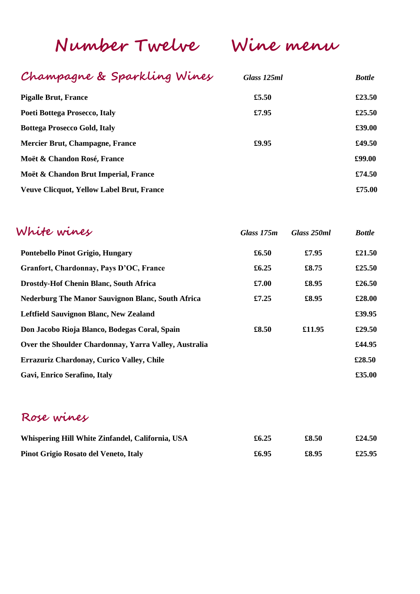**Number Twelve Wine menu**

## **Champagne & Sparkling Wines** *Glass 125ml**Bottle*

| <b>Pigalle Brut, France</b>                      | £5.50 | £23.50 |
|--------------------------------------------------|-------|--------|
| Poeti Bottega Prosecco, Italy                    | £7.95 | £25.50 |
| <b>Bottega Prosecco Gold, Italy</b>              |       | £39.00 |
| Mercier Brut, Champagne, France                  | £9.95 | £49.50 |
| Moët & Chandon Rosé, France                      |       | £99.00 |
| Moët & Chandon Brut Imperial, France             |       | £74.50 |
| <b>Veuve Clicquot, Yellow Label Brut, France</b> |       | £75.00 |
|                                                  |       |        |

| White wines                                              | Glass 175m | Glass 250ml | <b>Bottle</b> |
|----------------------------------------------------------|------------|-------------|---------------|
| Pontebello Pinot Grigio, Hungary                         | £6.50      | £7.95       | £21.50        |
| Granfort, Chardonnay, Pays D'OC, France                  | £6.25      | £8.75       | £25.50        |
| <b>Drostdy-Hof Chenin Blanc, South Africa</b>            | £7.00      | £8.95       | £26.50        |
| <b>Nederburg The Manor Sauvignon Blanc, South Africa</b> | £7.25      | £8.95       | £28.00        |
| Leftfield Sauvignon Blanc, New Zealand                   |            |             | £39.95        |
| Don Jacobo Rioja Blanco, Bodegas Coral, Spain            | £8.50      | £11.95      | £29.50        |
| Over the Shoulder Chardonnay, Yarra Valley, Australia    |            |             | £44.95        |
| Errazuriz Chardonay, Curico Valley, Chile                |            |             | £28.50        |
| Gavi, Enrico Serafino, Italy                             |            |             | £35.00        |

## **Rose wines**

| Whispering Hill White Zinfandel, California, USA | £6.25 | £8.50 | £24.50 |
|--------------------------------------------------|-------|-------|--------|
| <b>Pinot Grigio Rosato del Veneto, Italy</b>     | £6.95 | £8.95 | £25.95 |